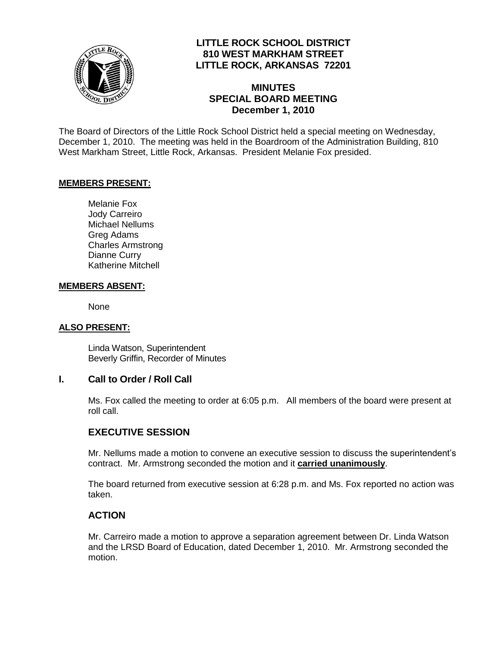

## **LITTLE ROCK SCHOOL DISTRICT 810 WEST MARKHAM STREET LITTLE ROCK, ARKANSAS 72201**

## **MINUTES SPECIAL BOARD MEETING December 1, 2010**

The Board of Directors of the Little Rock School District held a special meeting on Wednesday, December 1, 2010. The meeting was held in the Boardroom of the Administration Building, 810 West Markham Street, Little Rock, Arkansas. President Melanie Fox presided.

### **MEMBERS PRESENT:**

Melanie Fox Jody Carreiro Michael Nellums Greg Adams Charles Armstrong Dianne Curry Katherine Mitchell

#### **MEMBERS ABSENT:**

None

### **ALSO PRESENT:**

Linda Watson, Superintendent Beverly Griffin, Recorder of Minutes

### **I. Call to Order / Roll Call**

Ms. Fox called the meeting to order at 6:05 p.m. All members of the board were present at roll call.

### **EXECUTIVE SESSION**

Mr. Nellums made a motion to convene an executive session to discuss the superintendent's contract. Mr. Armstrong seconded the motion and it **carried unanimously**.

The board returned from executive session at 6:28 p.m. and Ms. Fox reported no action was taken.

### **ACTION**

Mr. Carreiro made a motion to approve a separation agreement between Dr. Linda Watson and the LRSD Board of Education, dated December 1, 2010. Mr. Armstrong seconded the motion.